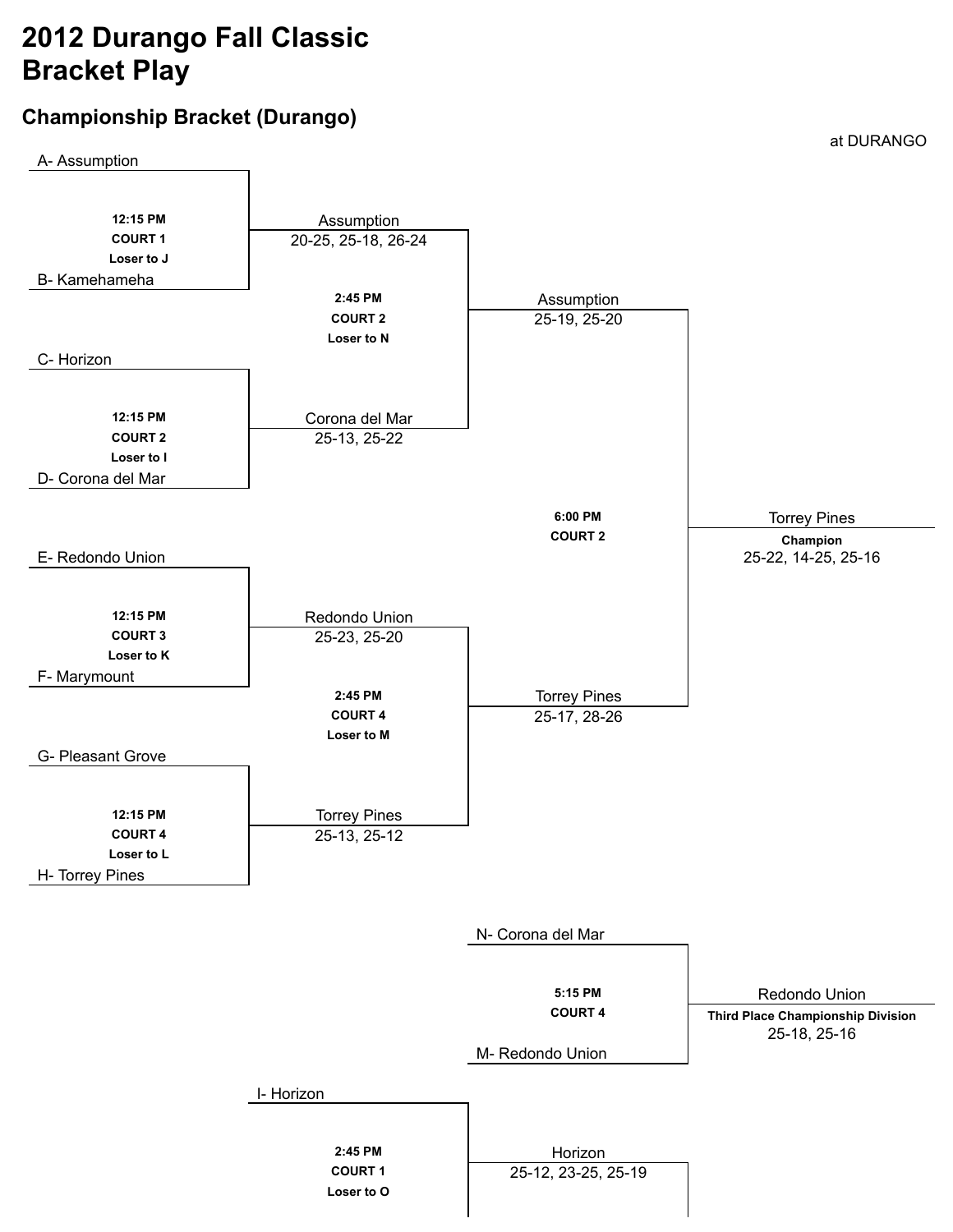# **2012 Durango Fall Classic Bracket Play**

# **Championship Bracket (Durango)**

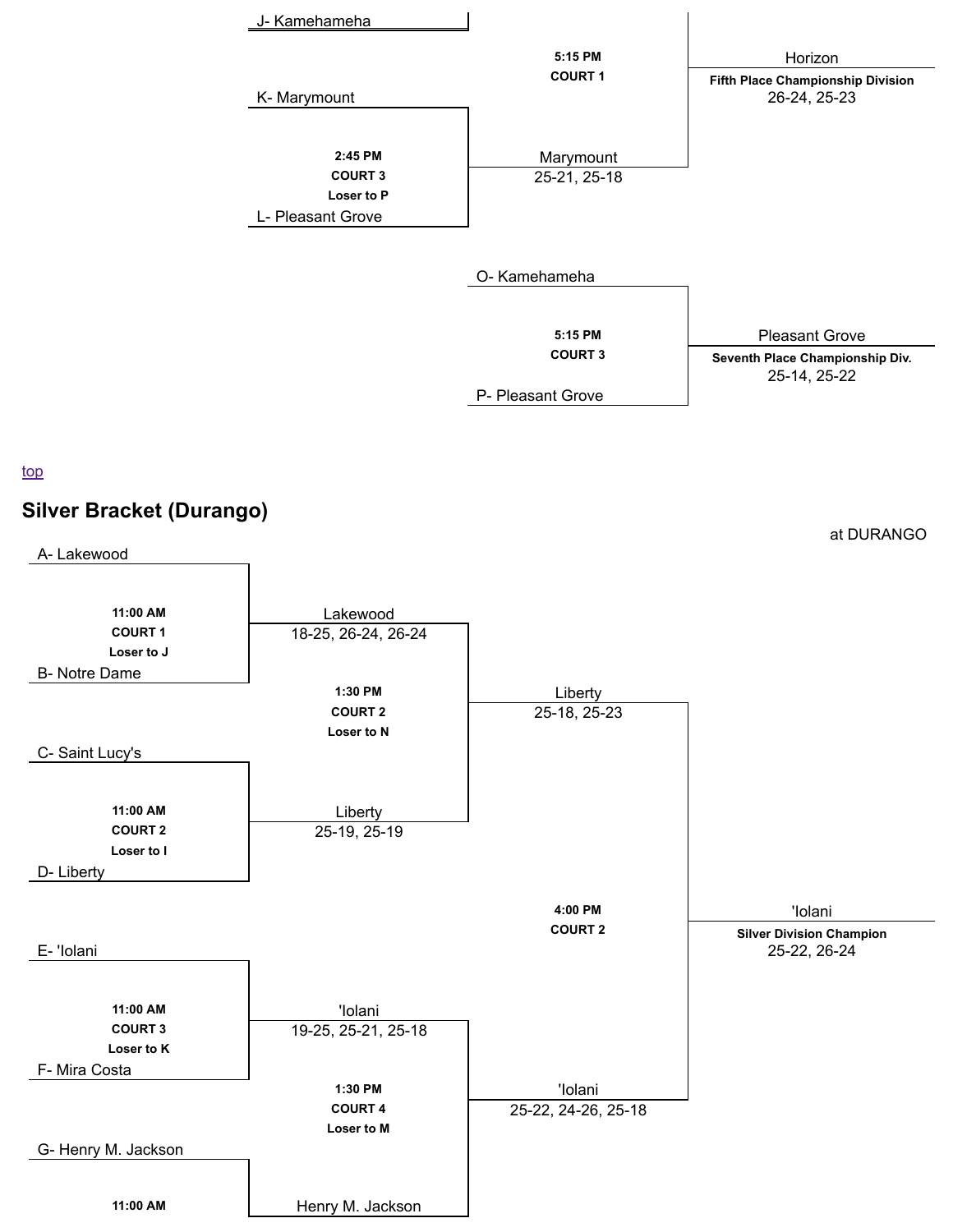

### top



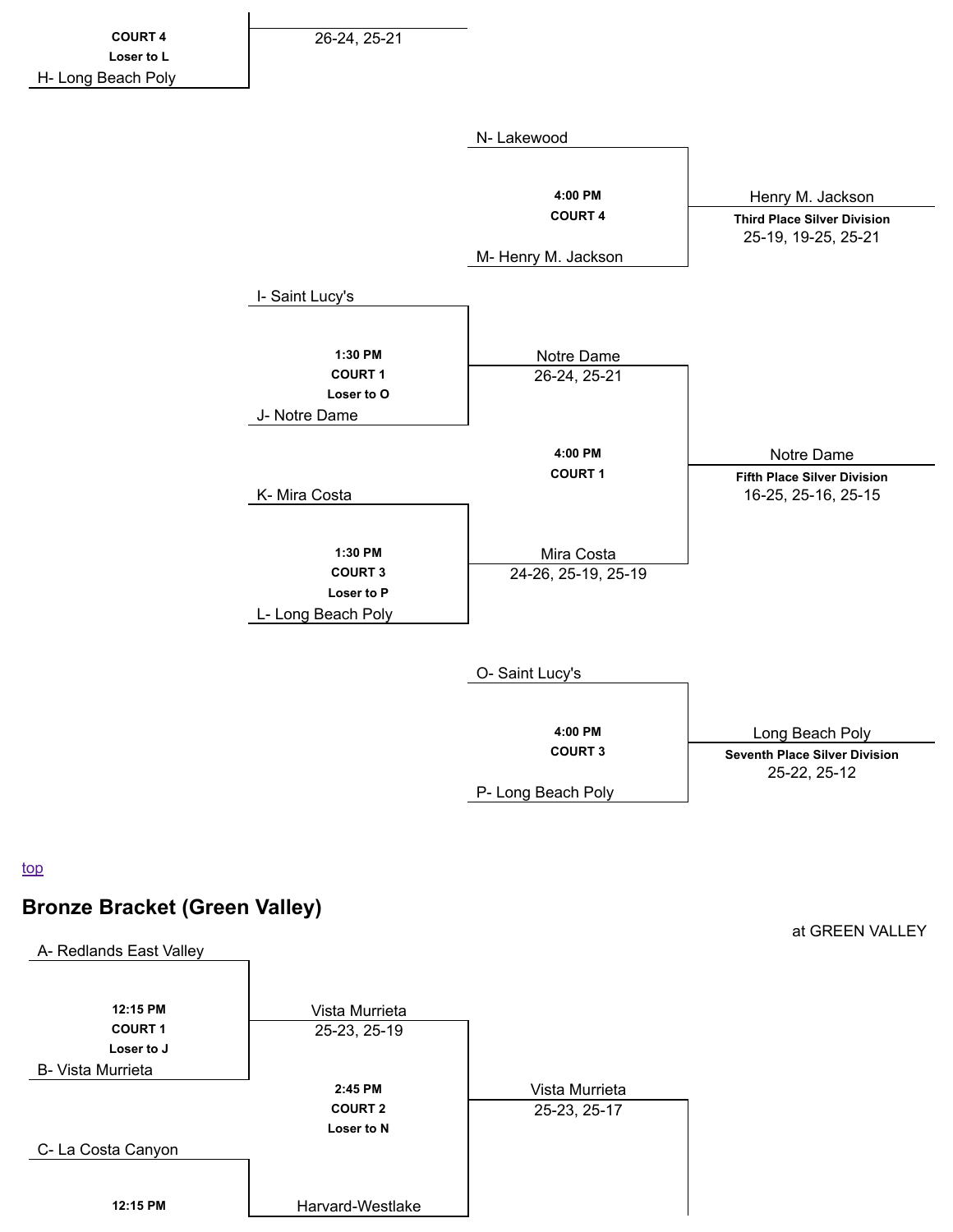

P- Long Beach Poly

top

## **Bronze Bracket (Green Valley)**



at GREEN VALLEY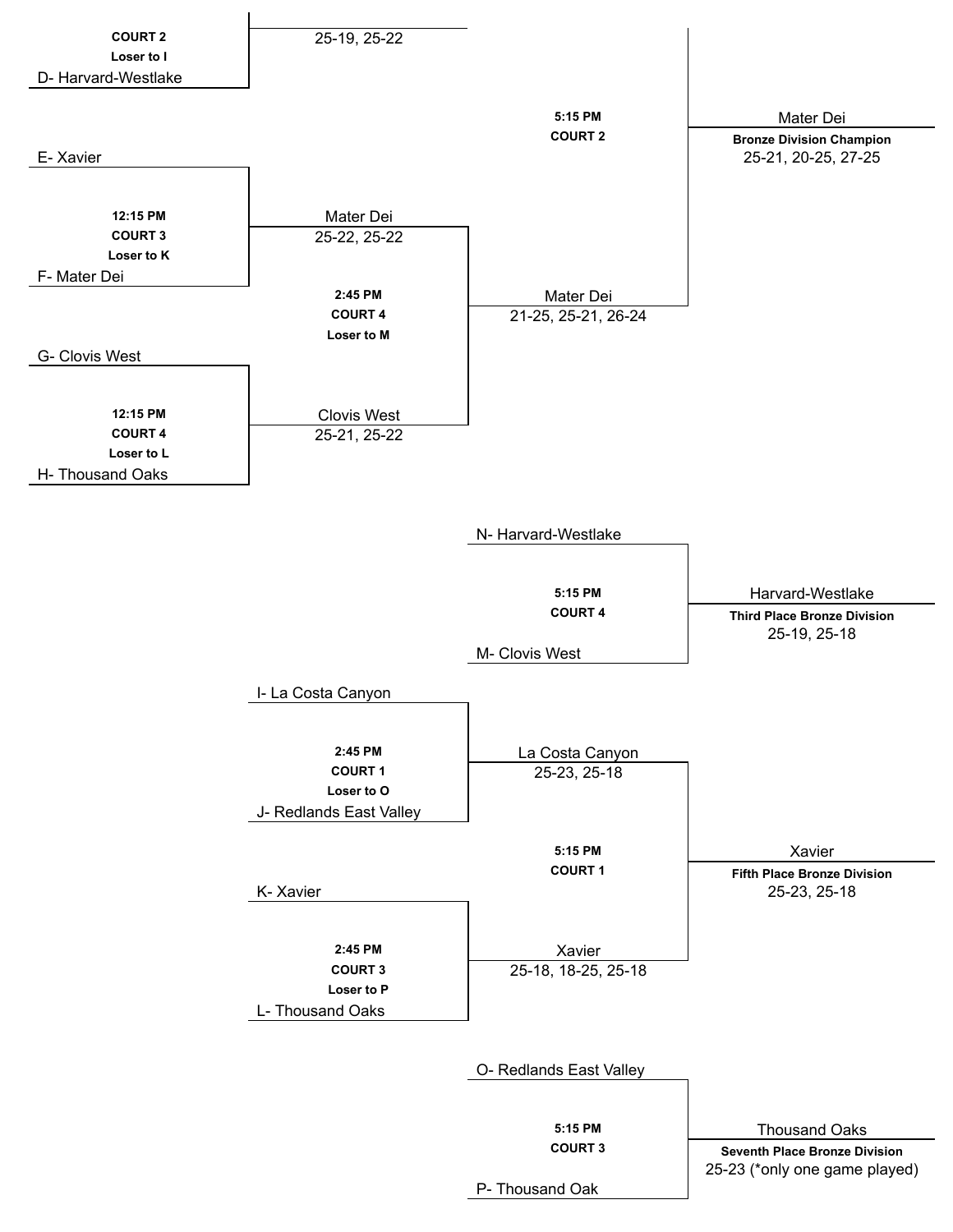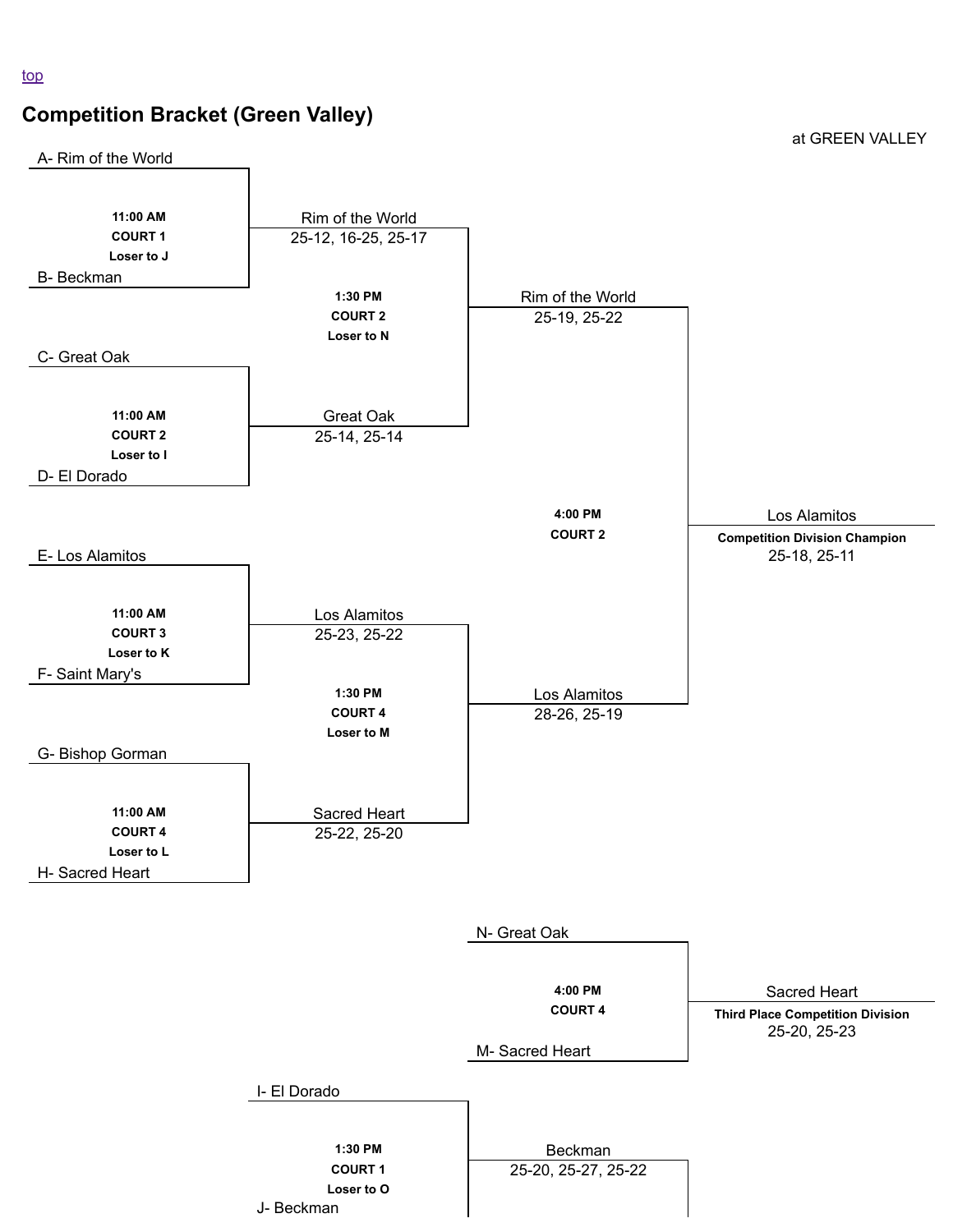# **Competition Bracket (Green Valley)**

at GREEN VALLEY

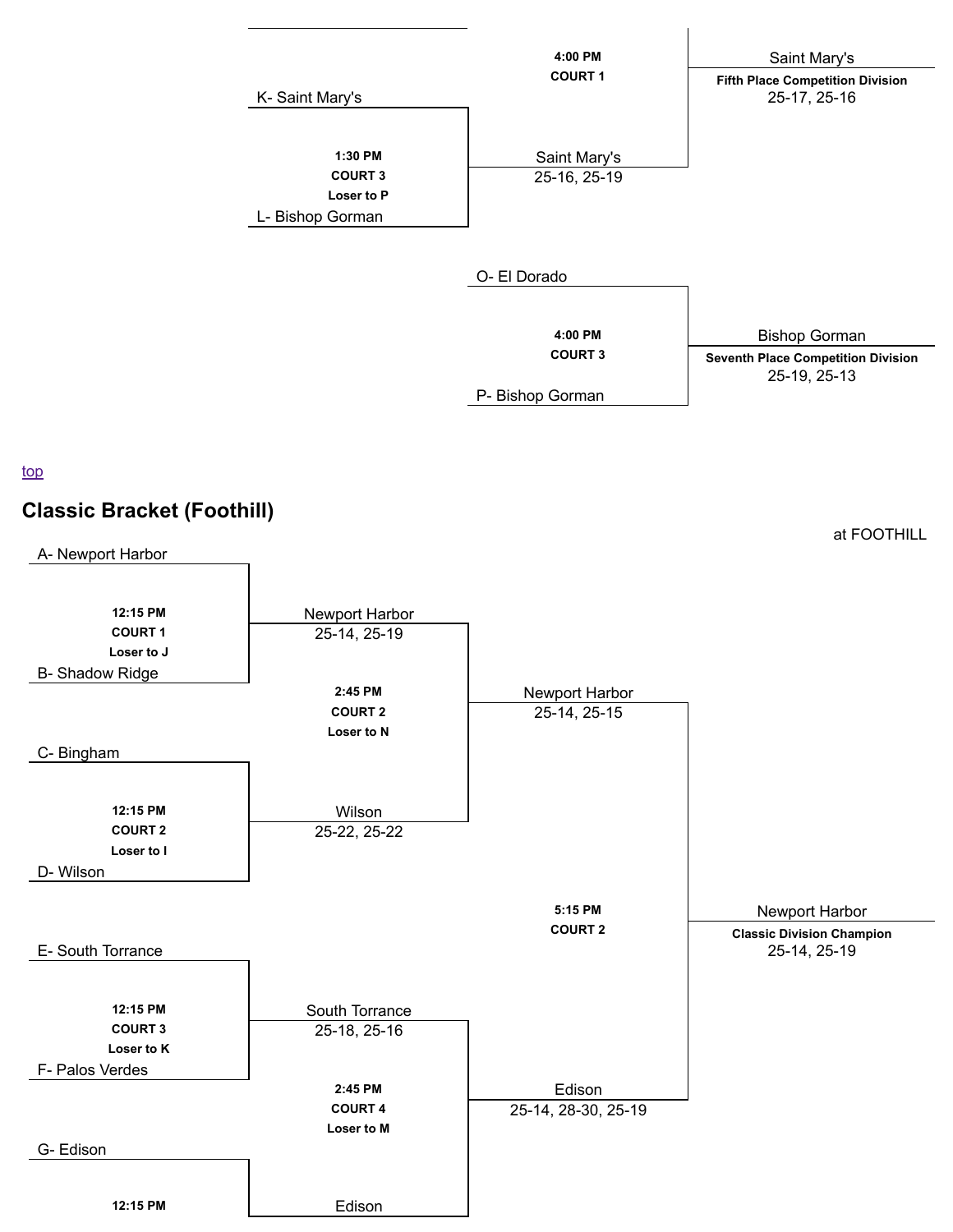

### top



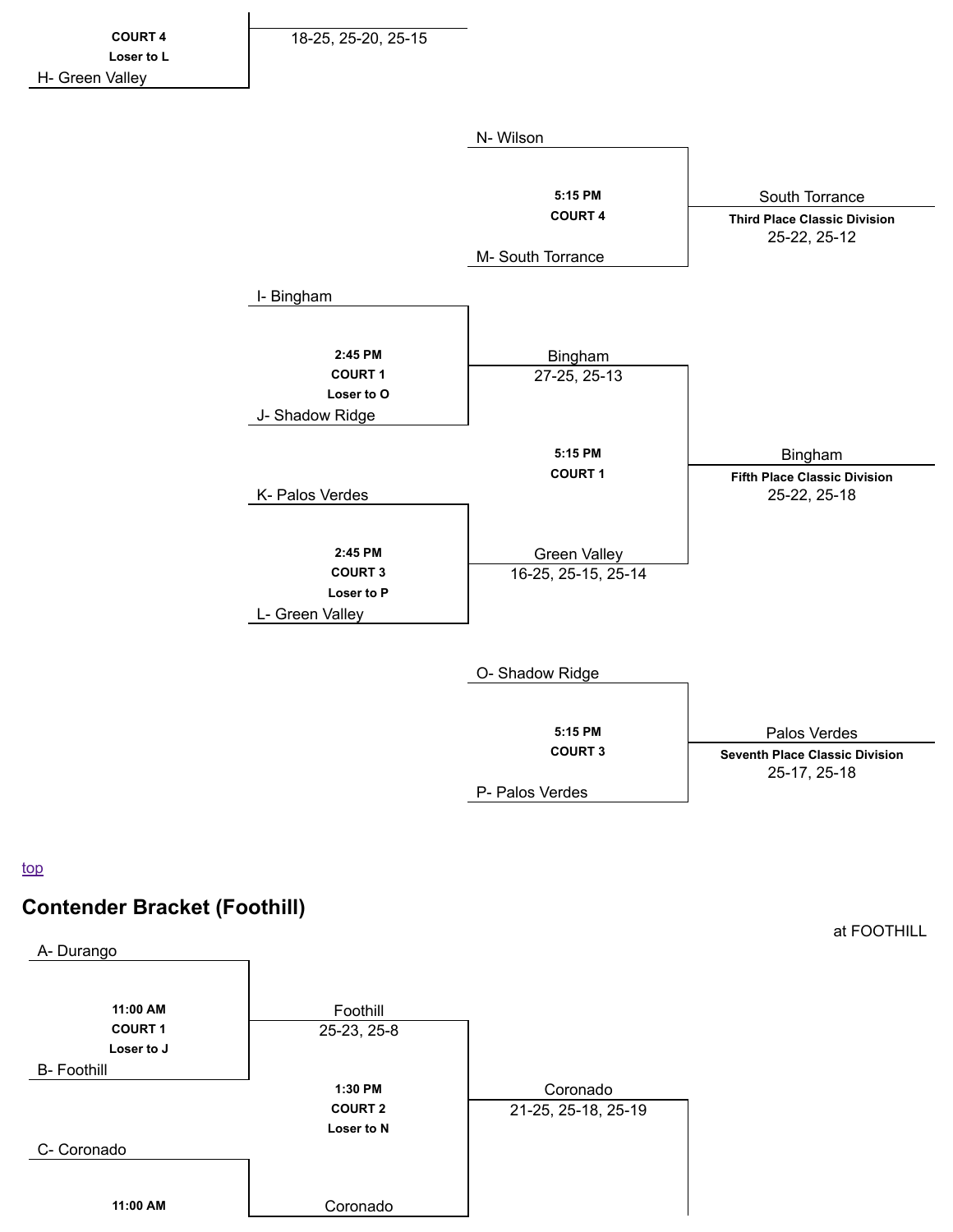

top

# **Contender Bracket (Foothill)**



at FOOTHILL